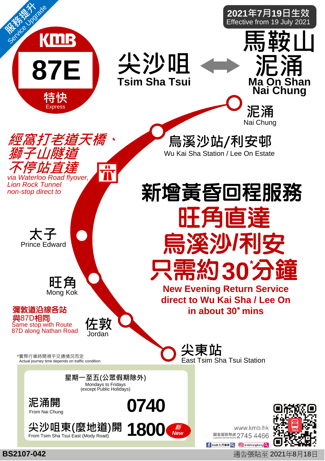